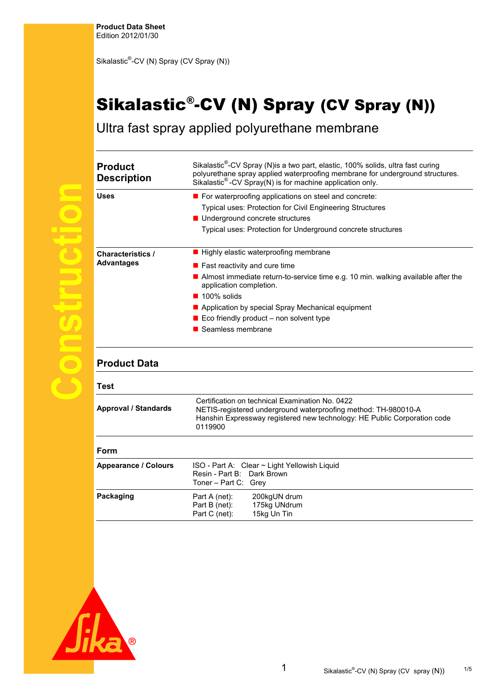**Product Data Sheet**  Edition 2012/01/30

Sikalastic<sup>®</sup>-CV (N) Spray (CV Spray (N))

## Sikalastic® -CV (N) Spray (CV Spray (N))

Ultra fast spray applied polyurethane membrane

| <b>Product</b><br><b>Description</b>          | Sikalastic <sup>®</sup> -CV Spray (N)is a two part, elastic, 100% solids, ultra fast curing<br>polyurethane spray applied waterproofing membrane for underground structures.<br>Sikalastic <sup>®</sup> -CV Spray(N) is for machine application only.                                                                                                       |  |  |  |
|-----------------------------------------------|-------------------------------------------------------------------------------------------------------------------------------------------------------------------------------------------------------------------------------------------------------------------------------------------------------------------------------------------------------------|--|--|--|
| <b>Uses</b>                                   | For waterproofing applications on steel and concrete:<br>Typical uses: Protection for Civil Engineering Structures<br>■ Underground concrete structures<br>Typical uses: Protection for Underground concrete structures                                                                                                                                     |  |  |  |
| <b>Characteristics /</b><br><b>Advantages</b> | ■ Highly elastic waterproofing membrane<br>$\blacksquare$ Fast reactivity and cure time<br>Almost immediate return-to-service time e.g. 10 min. walking available after the<br>application completion.<br>$\blacksquare$ 100% solids<br>Application by special Spray Mechanical equipment<br>Eco friendly product - non solvent type<br>■ Seamless membrane |  |  |  |
| <b>Product Data</b>                           |                                                                                                                                                                                                                                                                                                                                                             |  |  |  |
| Test                                          |                                                                                                                                                                                                                                                                                                                                                             |  |  |  |
| <b>Approval / Standards</b>                   | Certification on technical Examination No. 0422<br>NETIS-registered underground waterproofing method: TH-980010-A<br>Hanshin Expressway registered new technology: HE Public Corporation code<br>0119900                                                                                                                                                    |  |  |  |
| Form                                          |                                                                                                                                                                                                                                                                                                                                                             |  |  |  |
| <b>Appearance / Colours</b>                   | ISO - Part A: Clear ~ Light Yellowish Liquid<br>Resin - Part B: Dark Brown<br>Toner - Part C: Grey                                                                                                                                                                                                                                                          |  |  |  |
| Packaging                                     | Part A (net):<br>200kgUN drum<br>175kg UNdrum<br>Part B (net):<br>15kg Un Tin<br>Part C (net):                                                                                                                                                                                                                                                              |  |  |  |

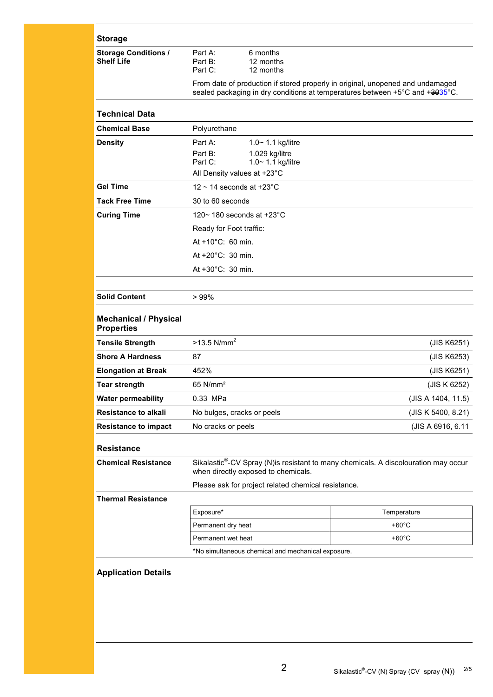| <b>Storage</b>                                    |                                                                                                                                                                |                                                     |                    |  |  |
|---------------------------------------------------|----------------------------------------------------------------------------------------------------------------------------------------------------------------|-----------------------------------------------------|--------------------|--|--|
| <b>Storage Conditions /</b><br><b>Shelf Life</b>  | Part A:<br>Part B:<br>Part C:                                                                                                                                  | 6 months<br>12 months<br>12 months                  |                    |  |  |
|                                                   | From date of production if stored properly in original, unopened and undamaged<br>sealed packaging in dry conditions at temperatures between +5°C and +3035°C. |                                                     |                    |  |  |
| <b>Technical Data</b>                             |                                                                                                                                                                |                                                     |                    |  |  |
| <b>Chemical Base</b>                              | Polyurethane                                                                                                                                                   |                                                     |                    |  |  |
| <b>Density</b>                                    | Part A:                                                                                                                                                        | 1.0~ 1.1 kg/litre                                   |                    |  |  |
|                                                   | Part B:<br>Part C:                                                                                                                                             | 1.029 kg/litre<br>1.0~ 1.1 kg/litre                 |                    |  |  |
|                                                   | All Density values at +23°C                                                                                                                                    |                                                     |                    |  |  |
| <b>Gel Time</b>                                   | 12 $\sim$ 14 seconds at +23 $^{\circ}$ C                                                                                                                       |                                                     |                    |  |  |
| <b>Tack Free Time</b>                             |                                                                                                                                                                | 30 to 60 seconds                                    |                    |  |  |
| <b>Curing Time</b>                                |                                                                                                                                                                | 120~180 seconds at $+23^{\circ}$ C                  |                    |  |  |
|                                                   | Ready for Foot traffic:                                                                                                                                        |                                                     |                    |  |  |
| At $+10^{\circ}$ C: 60 min.                       |                                                                                                                                                                |                                                     |                    |  |  |
|                                                   | At +20°C: 30 min.                                                                                                                                              |                                                     |                    |  |  |
|                                                   | At +30°C: 30 min.                                                                                                                                              |                                                     |                    |  |  |
|                                                   |                                                                                                                                                                |                                                     |                    |  |  |
| <b>Solid Content</b>                              | >99%                                                                                                                                                           |                                                     |                    |  |  |
| <b>Mechanical / Physical</b><br><b>Properties</b> |                                                                                                                                                                |                                                     |                    |  |  |
| <b>Tensile Strength</b>                           | $>13.5$ N/mm <sup>2</sup>                                                                                                                                      |                                                     | (JIS K6251)        |  |  |
| <b>Shore A Hardness</b>                           | 87                                                                                                                                                             |                                                     | (JIS K6253)        |  |  |
| <b>Elongation at Break</b>                        | 452%                                                                                                                                                           |                                                     | (JIS K6251)        |  |  |
| <b>Tear strength</b>                              | 65 N/mm <sup>2</sup>                                                                                                                                           |                                                     | (JIS K 6252)       |  |  |
| <b>Water permeability</b>                         | 0.33 MPa                                                                                                                                                       |                                                     | (JIS A 1404, 11.5) |  |  |
| <b>Resistance to alkali</b>                       | No bulges, cracks or peels                                                                                                                                     |                                                     | (JIS K 5400, 8.21) |  |  |
| <b>Resistance to impact</b>                       | No cracks or peels                                                                                                                                             |                                                     | (JIS A 6916, 6.11  |  |  |
| <b>Resistance</b>                                 |                                                                                                                                                                |                                                     |                    |  |  |
| <b>Chemical Resistance</b>                        | Sikalastic <sup>®</sup> -CV Spray (N)is resistant to many chemicals. A discolouration may occur<br>when directly exposed to chemicals.                         |                                                     |                    |  |  |
|                                                   |                                                                                                                                                                | Please ask for project related chemical resistance. |                    |  |  |
| <b>Thermal Resistance</b>                         |                                                                                                                                                                |                                                     |                    |  |  |
|                                                   | Exposure*                                                                                                                                                      |                                                     | Temperature        |  |  |
|                                                   | Permanent dry heat                                                                                                                                             |                                                     | $+60^{\circ}$ C    |  |  |
|                                                   | Permanent wet heat                                                                                                                                             |                                                     | +60°C              |  |  |
|                                                   | *No simultaneous chemical and mechanical exposure.                                                                                                             |                                                     |                    |  |  |

## **Application Details**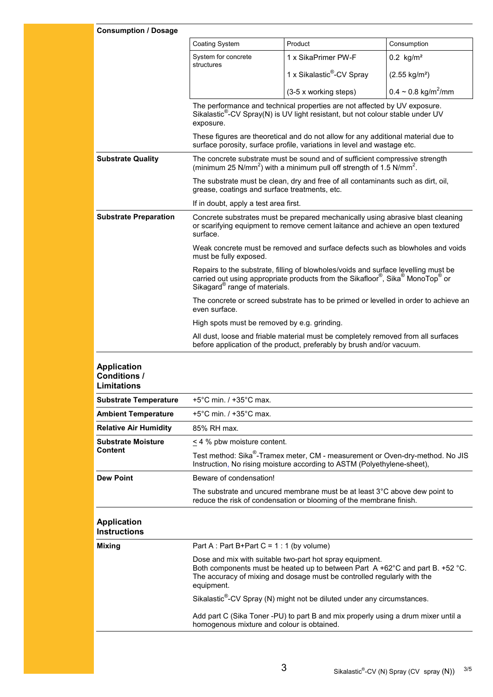| <b>Consumption / Dosage</b>                                     |                                                                                                                                                                                                                                                                                                                                                                                                                                      |                                                                                                                                                                            |                                      |  |  |
|-----------------------------------------------------------------|--------------------------------------------------------------------------------------------------------------------------------------------------------------------------------------------------------------------------------------------------------------------------------------------------------------------------------------------------------------------------------------------------------------------------------------|----------------------------------------------------------------------------------------------------------------------------------------------------------------------------|--------------------------------------|--|--|
|                                                                 | <b>Coating System</b>                                                                                                                                                                                                                                                                                                                                                                                                                | Product                                                                                                                                                                    | Consumption                          |  |  |
|                                                                 | System for concrete<br>structures                                                                                                                                                                                                                                                                                                                                                                                                    | 1 x SikaPrimer PW-F                                                                                                                                                        | $0.2 \text{ kg/m}^2$                 |  |  |
|                                                                 |                                                                                                                                                                                                                                                                                                                                                                                                                                      | 1 x Sikalastic <sup>®</sup> -CV Spray                                                                                                                                      | $(2.55 \text{ kg/m}^2)$              |  |  |
|                                                                 |                                                                                                                                                                                                                                                                                                                                                                                                                                      | (3-5 x working steps)                                                                                                                                                      | $0.4 \sim 0.8$ kg/m <sup>2</sup> /mm |  |  |
|                                                                 | The performance and technical properties are not affected by UV exposure.<br>Sikalastic®-CV Spray(N) is UV light resistant, but not colour stable under UV<br>exposure.                                                                                                                                                                                                                                                              |                                                                                                                                                                            |                                      |  |  |
|                                                                 | These figures are theoretical and do not allow for any additional material due to<br>surface porosity, surface profile, variations in level and wastage etc.                                                                                                                                                                                                                                                                         |                                                                                                                                                                            |                                      |  |  |
| <b>Substrate Quality</b>                                        |                                                                                                                                                                                                                                                                                                                                                                                                                                      | The concrete substrate must be sound and of sufficient compressive strength<br>(minimum 25 N/mm <sup>2</sup> ) with a minimum pull off strength of 1.5 N/mm <sup>2</sup> . |                                      |  |  |
|                                                                 | The substrate must be clean, dry and free of all contaminants such as dirt, oil,<br>grease, coatings and surface treatments, etc.                                                                                                                                                                                                                                                                                                    |                                                                                                                                                                            |                                      |  |  |
|                                                                 | If in doubt, apply a test area first.                                                                                                                                                                                                                                                                                                                                                                                                |                                                                                                                                                                            |                                      |  |  |
| <b>Substrate Preparation</b>                                    | Concrete substrates must be prepared mechanically using abrasive blast cleaning<br>or scarifying equipment to remove cement laitance and achieve an open textured<br>surface.                                                                                                                                                                                                                                                        |                                                                                                                                                                            |                                      |  |  |
|                                                                 | Weak concrete must be removed and surface defects such as blowholes and voids<br>must be fully exposed.<br>Repairs to the substrate, filling of blowholes/voids and surface levelling must be<br>carried out using appropriate products from the Sikafloor®, Sika® MonoTop® or<br>Sikagard <sup>®</sup> range of materials.<br>The concrete or screed substrate has to be primed or levelled in order to achieve an<br>even surface. |                                                                                                                                                                            |                                      |  |  |
|                                                                 |                                                                                                                                                                                                                                                                                                                                                                                                                                      |                                                                                                                                                                            |                                      |  |  |
|                                                                 |                                                                                                                                                                                                                                                                                                                                                                                                                                      |                                                                                                                                                                            |                                      |  |  |
|                                                                 | High spots must be removed by e.g. grinding.<br>All dust, loose and friable material must be completely removed from all surfaces<br>before application of the product, preferably by brush and/or vacuum.                                                                                                                                                                                                                           |                                                                                                                                                                            |                                      |  |  |
|                                                                 |                                                                                                                                                                                                                                                                                                                                                                                                                                      |                                                                                                                                                                            |                                      |  |  |
| <b>Application</b><br><b>Conditions /</b><br><b>Limitations</b> |                                                                                                                                                                                                                                                                                                                                                                                                                                      |                                                                                                                                                                            |                                      |  |  |
| <b>Substrate Temperature</b>                                    | +5°C min. / +35°C max.                                                                                                                                                                                                                                                                                                                                                                                                               |                                                                                                                                                                            |                                      |  |  |
| <b>Ambient Temperature</b>                                      | $+5^{\circ}$ C min. / $+35^{\circ}$ C max.                                                                                                                                                                                                                                                                                                                                                                                           |                                                                                                                                                                            |                                      |  |  |
| <b>Relative Air Humidity</b>                                    | 85% RH max.                                                                                                                                                                                                                                                                                                                                                                                                                          |                                                                                                                                                                            |                                      |  |  |
| <b>Substrate Moisture</b><br><b>Content</b>                     | $\leq$ 4 % pbw moisture content.                                                                                                                                                                                                                                                                                                                                                                                                     |                                                                                                                                                                            |                                      |  |  |
|                                                                 |                                                                                                                                                                                                                                                                                                                                                                                                                                      | Test method: Sika®-Tramex meter, CM - measurement or Oven-dry-method. No JIS<br>Instruction, No rising moisture according to ASTM (Polyethylene-sheet),                    |                                      |  |  |
| <b>Dew Point</b>                                                | Beware of condensation!                                                                                                                                                                                                                                                                                                                                                                                                              |                                                                                                                                                                            |                                      |  |  |
|                                                                 | The substrate and uncured membrane must be at least $3^{\circ}$ C above dew point to<br>reduce the risk of condensation or blooming of the membrane finish.                                                                                                                                                                                                                                                                          |                                                                                                                                                                            |                                      |  |  |
| <b>Application</b><br><b>Instructions</b>                       |                                                                                                                                                                                                                                                                                                                                                                                                                                      |                                                                                                                                                                            |                                      |  |  |
| <b>Mixing</b>                                                   | Part A : Part B+Part C = $1:1$ (by volume)                                                                                                                                                                                                                                                                                                                                                                                           |                                                                                                                                                                            |                                      |  |  |
|                                                                 | Dose and mix with suitable two-part hot spray equipment.<br>Both components must be heated up to between Part A +62°C and part B. +52 °C.<br>The accuracy of mixing and dosage must be controlled regularly with the<br>equipment.                                                                                                                                                                                                   |                                                                                                                                                                            |                                      |  |  |
|                                                                 | Sikalastic <sup>®</sup> -CV Spray (N) might not be diluted under any circumstances.<br>Add part C (Sika Toner -PU) to part B and mix properly using a drum mixer until a<br>homogenous mixture and colour is obtained.                                                                                                                                                                                                               |                                                                                                                                                                            |                                      |  |  |
|                                                                 |                                                                                                                                                                                                                                                                                                                                                                                                                                      |                                                                                                                                                                            |                                      |  |  |
|                                                                 |                                                                                                                                                                                                                                                                                                                                                                                                                                      |                                                                                                                                                                            |                                      |  |  |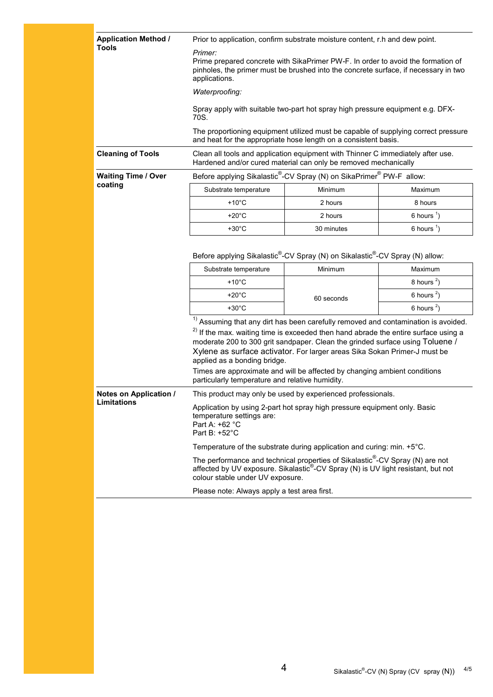| <b>Application Method /</b> | Prior to application, confirm substrate moisture content, r.h and dew point.                                                                                                                                                                                                                                                                                                                                                                                                                                        |                                                                                                       |                       |  |  |
|-----------------------------|---------------------------------------------------------------------------------------------------------------------------------------------------------------------------------------------------------------------------------------------------------------------------------------------------------------------------------------------------------------------------------------------------------------------------------------------------------------------------------------------------------------------|-------------------------------------------------------------------------------------------------------|-----------------------|--|--|
| <b>Tools</b>                | Primer:<br>Prime prepared concrete with SikaPrimer PW-F. In order to avoid the formation of<br>pinholes, the primer must be brushed into the concrete surface, if necessary in two<br>applications.                                                                                                                                                                                                                                                                                                                 |                                                                                                       |                       |  |  |
|                             | Waterproofing:                                                                                                                                                                                                                                                                                                                                                                                                                                                                                                      |                                                                                                       |                       |  |  |
|                             | Spray apply with suitable two-part hot spray high pressure equipment e.g. DFX-<br>70S.                                                                                                                                                                                                                                                                                                                                                                                                                              |                                                                                                       |                       |  |  |
|                             | The proportioning equipment utilized must be capable of supplying correct pressure<br>and heat for the appropriate hose length on a consistent basis.                                                                                                                                                                                                                                                                                                                                                               |                                                                                                       |                       |  |  |
| <b>Cleaning of Tools</b>    | Clean all tools and application equipment with Thinner C immediately after use.<br>Hardened and/or cured material can only be removed mechanically                                                                                                                                                                                                                                                                                                                                                                  |                                                                                                       |                       |  |  |
| <b>Waiting Time / Over</b>  |                                                                                                                                                                                                                                                                                                                                                                                                                                                                                                                     | Before applying Sikalastic <sup>®</sup> -CV Spray (N) on SikaPrimer <sup>®</sup> PW-F allow:          |                       |  |  |
| coating                     | Substrate temperature                                                                                                                                                                                                                                                                                                                                                                                                                                                                                               | Minimum                                                                                               | Maximum               |  |  |
|                             | +10 $^{\circ}$ C                                                                                                                                                                                                                                                                                                                                                                                                                                                                                                    | 2 hours                                                                                               | 8 hours               |  |  |
|                             | $+20^{\circ}$ C                                                                                                                                                                                                                                                                                                                                                                                                                                                                                                     | 2 hours                                                                                               | 6 hours $\frac{1}{2}$ |  |  |
|                             | $+30^{\circ}$ C                                                                                                                                                                                                                                                                                                                                                                                                                                                                                                     | 30 minutes                                                                                            | 6 hours $1$ )         |  |  |
|                             |                                                                                                                                                                                                                                                                                                                                                                                                                                                                                                                     | Before applying Sikalastic <sup>®</sup> -CV Spray (N) on Sikalastic <sup>®</sup> -CV Spray (N) allow: |                       |  |  |
|                             | Substrate temperature                                                                                                                                                                                                                                                                                                                                                                                                                                                                                               | Minimum                                                                                               | Maximum               |  |  |
|                             | $+10^{\circ}$ C                                                                                                                                                                                                                                                                                                                                                                                                                                                                                                     |                                                                                                       | 8 hours $2$ )         |  |  |
|                             | $+20^{\circ}$ C                                                                                                                                                                                                                                                                                                                                                                                                                                                                                                     | 60 seconds                                                                                            | 6 hours $2$ )         |  |  |
|                             | $+30^{\circ}$ C                                                                                                                                                                                                                                                                                                                                                                                                                                                                                                     |                                                                                                       | 6 hours $2$ )         |  |  |
|                             | $1$ Assuming that any dirt has been carefully removed and contamination is avoided.<br><sup>2)</sup> If the max. waiting time is exceeded then hand abrade the entire surface using a<br>moderate 200 to 300 grit sandpaper. Clean the grinded surface using Toluene /<br>Xylene as surface activator. For larger areas Sika Sokan Primer-J must be<br>applied as a bonding bridge.<br>Times are approximate and will be affected by changing ambient conditions<br>particularly temperature and relative humidity. |                                                                                                       |                       |  |  |
| Notes on Application /      | This product may only be used by experienced professionals.                                                                                                                                                                                                                                                                                                                                                                                                                                                         |                                                                                                       |                       |  |  |
| Limitations                 | Application by using 2-part hot spray high pressure equipment only. Basic<br>temperature settings are:<br>Part A: +62 °C<br>Part B: +52°C                                                                                                                                                                                                                                                                                                                                                                           |                                                                                                       |                       |  |  |
|                             | Temperature of the substrate during application and curing: min. +5°C.                                                                                                                                                                                                                                                                                                                                                                                                                                              |                                                                                                       |                       |  |  |
|                             | The performance and technical properties of Sikalastic <sup>®</sup> -CV Spray (N) are not<br>affected by UV exposure. Sikalastic®-CV Spray (N) is UV light resistant, but not<br>colour stable under UV exposure.                                                                                                                                                                                                                                                                                                   |                                                                                                       |                       |  |  |
|                             | Please note: Always apply a test area first.                                                                                                                                                                                                                                                                                                                                                                                                                                                                        |                                                                                                       |                       |  |  |
|                             |                                                                                                                                                                                                                                                                                                                                                                                                                                                                                                                     |                                                                                                       |                       |  |  |